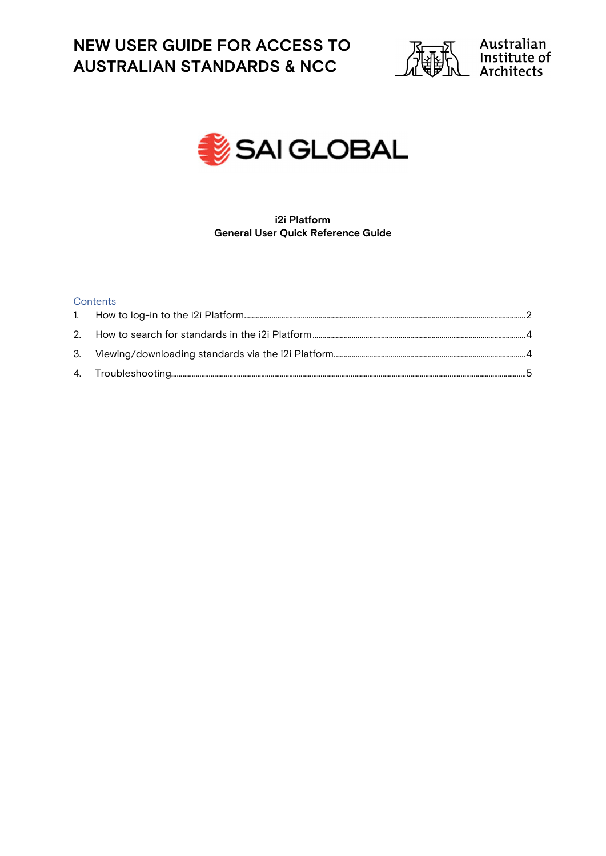

Australian<br>Institute of<br>Architects



## i2i Platform General User Quick Reference Guide

## **Contents**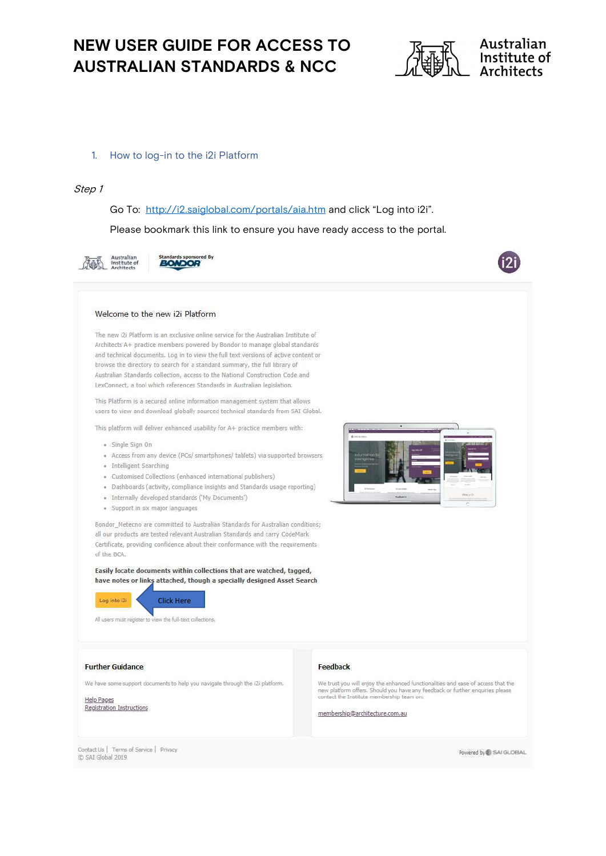

#### 1. How to log-in to the i2i Platform

#### Step 1

Go To: http://i2.saiglobal.com/portals/aia.htm and click "Log into i2i". Please bookmark this link to ensure you have ready access to the portal.





#### Welcome to the new i2i Platform

The new i2i Platform is an exclusive online service for the Australian Institute of Architects A+ practice members powered by Bondor to manage global standards and technical documents. Log in to view the full text versions of active content or browse the directory to search for a standard summary, the full library of Australian Standards collection, access to the National Construction Code and LexConnect, a tool which references Standards in Australian legislation.

This Platform is a secured online information management system that allows users to view and download globally sourced technical standards from SAI Global.

This platform will deliver enhanced usability for A+ practice members with:

- · Single Sign On
- · Access from any device (PCs/ smartphones/ tablets) via supported browsers
- · Intelligent Searching
- Customised Collections (enhanced international publishers)
- · Dashboards (activity, compliance insights and Standards usage reporting)
- . Internally developed standards ('My Documents')
- · Support in six major languages

Bondor Metecno are committed to Australian Standards for Australian conditions: all our products are tested relevant Australian Standards and carry CodeMark Certificate, providing confidence about their conformance with the requirements of the BCA

Easily locate documents within collections that are watched, tagged, have notes or links attached, though a specially designed Asset Search



#### **Further Guidance**

We have some support documents to help you navigate through the (2) platform.

Help Pages Registration Instructions

#### Feedback

We trust you will enjoy the enhanced functionalities and ease of access that the new platform offers. Should you have any feedback or further enquiries please contact the Institute membership team on:

membership@architecture.com.au

Contact Us | Terms of Service | Privacy<br>© SAI Global 2019

Powered by E SAI GLOBAL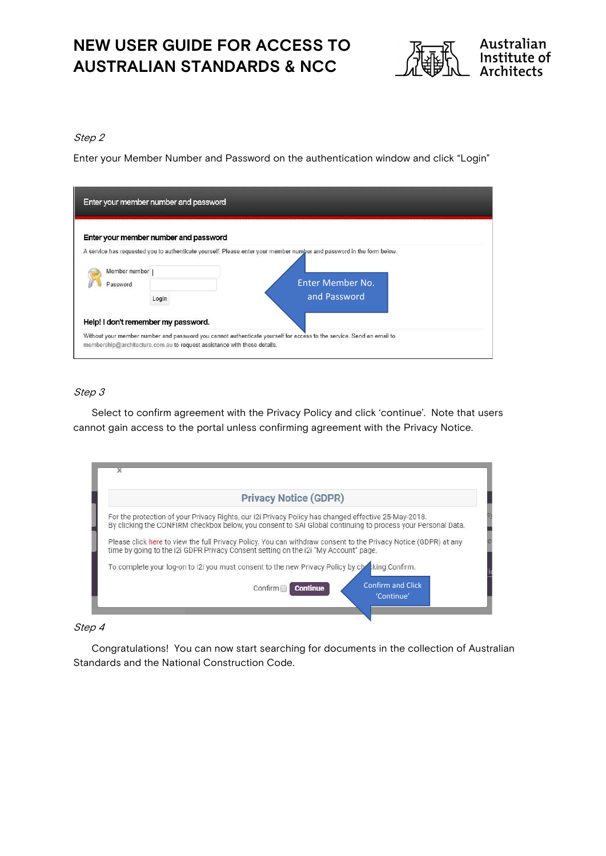# NEW USER GUIDE FOR ACCESS TO AUSTRALIAN STANDARDS & NCC



### Step 2

Enter your Member Number and Password on the authentication window and click "Login"

|                                     | Enter your member number and password                                    |                                                                                                                                                                  |
|-------------------------------------|--------------------------------------------------------------------------|------------------------------------------------------------------------------------------------------------------------------------------------------------------|
|                                     | Enter your member number and password                                    |                                                                                                                                                                  |
| Member number<br>Password           | Login                                                                    | A service has requested you to authenticate yourself. Please enter your member number and password in the form below.<br><b>Enter Member No.</b><br>and Password |
| Help! I don't remember my password. | membership@architecture.com.au to request assistance with these details. | Without your member number and password you cannot authenticate yourself for access to the service. Send an email to                                             |

#### Step 3

Select to confirm agreement with the Privacy Policy and click 'continue'. Note that users cannot gain access to the portal unless confirming agreement with the Privacy Notice.

| <b>Privacy Notice (GDPR)</b>                                                                                                                                                                                        |
|---------------------------------------------------------------------------------------------------------------------------------------------------------------------------------------------------------------------|
| For the protection of your Privacy Rights, our i2i Privacy Policy has changed effective 25-May-2018.<br>By clicking the CONFIRM checkbox below, you consent to SAI Global continuing to process your Personal Data. |
| Please click here to view the full Privacy Policy. You can withdraw consent to the Privacy Notice (GDPR) at any<br>time by going to the i2i GDPR Privacy Consent setting on the i2i "My Account" page,              |
| To complete your log-on to i2i you must consent to the new Privacy Policy by checking Confirm.                                                                                                                      |
| <b>Confirm and Click</b><br><b>Continue</b><br>Confirm                                                                                                                                                              |

### Step 4

Congratulations! You can now start searching for documents in the collection of Australian Standards and the National Construction Code.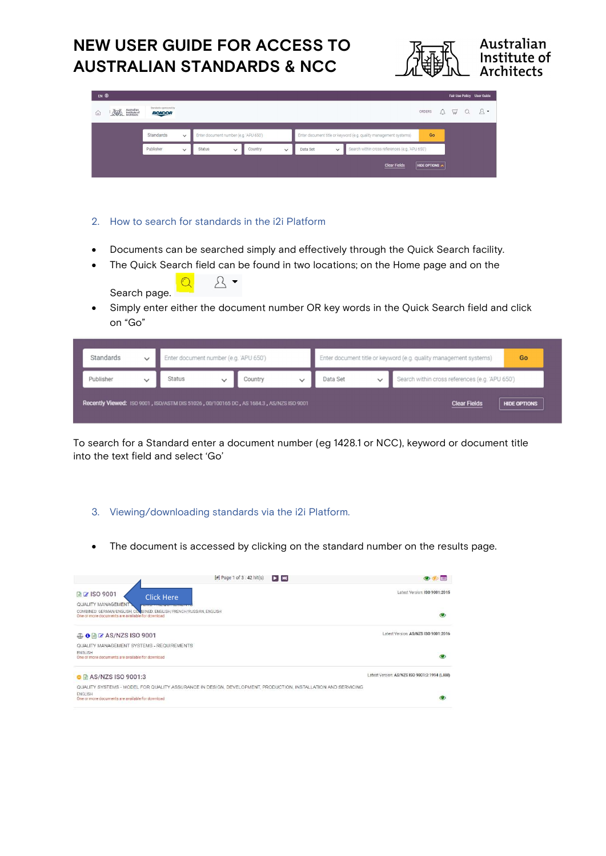# NEW USER GUIDE FOR ACCESS TO AUSTRALIAN STANDARDS & NCC



| EN ®                                                 |                                         |              |                                        |              |         |              |                                                                   |              |                                                 |                       |    |                                                                       | <b>Fair Use Policy User Guide</b> |
|------------------------------------------------------|-----------------------------------------|--------------|----------------------------------------|--------------|---------|--------------|-------------------------------------------------------------------|--------------|-------------------------------------------------|-----------------------|----|-----------------------------------------------------------------------|-----------------------------------|
| Australian<br>Institute of<br>Architects<br>編成<br>ίn | Standards sponsored by<br><b>BOADOR</b> |              |                                        |              |         |              |                                                                   |              |                                                 | ORDERS                |    | $\begin{array}{ccc} \Delta & \square & \square & \square \end{array}$ | $8 -$                             |
|                                                      | Standards                               | $\checkmark$ | Enter document number (e.g. 'APU 650') |              |         |              | Enter document title or keyword (e.g. quality management systems) |              |                                                 |                       | Go |                                                                       |                                   |
|                                                      | Publisher                               | $\checkmark$ | Status                                 | $\checkmark$ | Country | $\checkmark$ | Data Set                                                          | $\checkmark$ | Search within cross references (e.g. 'APU 650') |                       |    |                                                                       |                                   |
|                                                      |                                         |              |                                        |              |         |              |                                                                   |              | <b>Clear Fields</b>                             | <b>HIDE OPTIONS A</b> |    |                                                                       |                                   |

## 2. How to search for standards in the i2i Platform

- Documents can be searched simply and effectively through the Quick Search facility.
- The Quick Search field can be found in two locations; on the Home page and on the

| Search page. |  |  |
|--------------|--|--|

 Simply enter either the document number OR key words in the Quick Search field and click on "Go"

| Standards                                                                               | $\checkmark$ | Enter document number (e.g. 'APU 650') |         | Enter document title or keyword (e.g. quality management systems)<br>Go |          |                     |                                                 |  |  |  |
|-----------------------------------------------------------------------------------------|--------------|----------------------------------------|---------|-------------------------------------------------------------------------|----------|---------------------|-------------------------------------------------|--|--|--|
| Publisher                                                                               | $\checkmark$ | Status                                 | Country |                                                                         | Data Set | $\checkmark$        | Search within cross references (e.g. 'APU 650') |  |  |  |
| Recently Viewed: ISO 9001, ISO/ASTM DIS 51026, 00/100165 DC, AS 1684.3, AS/NZS ISO 9001 |              |                                        |         |                                                                         |          | <b>Clear Fields</b> | <b>HIDE OPTIONS</b>                             |  |  |  |

To search for a Standard enter a document number (eg 1428.1 or NCC), keyword or document title into the text field and select 'Go'

- 3. Viewing/downloading standards via the i2i Platform.
- The document is accessed by clicking on the standard number on the results page.

| E                                            | $\neq$ Page 1 of 3 : 42 hit(s)<br>EM                                                                                     |
|----------------------------------------------|--------------------------------------------------------------------------------------------------------------------------|
| Latest Version: ISO 9001:2015                | <b>■■</b> ISO 9001<br><b>Click Here</b><br>QUALITY MANAGEMENT                                                            |
| $\circ$                                      | COMBINED: GERMAN/ENGLISH, CON BINED: ENGLISH/FRENCH/RUSSIAN, ENGLISH<br>One or more documents are available for download |
| Latest Version: AS/NZS ISO 9001:2016         | 45 <b>8 B 区 AS/NZS ISO 9001</b>                                                                                          |
|                                              | QUALITY MANAGEMENT SYSTEMS - REQUIREMENTS                                                                                |
| $\circ$                                      | ENGLISH<br>One or more documents are available for download                                                              |
| Latest Version: AS/NZS ISO 9001:3:1994 (LAM) | ● AS/NZS ISO 9001:3                                                                                                      |
|                                              | QUALITY SYSTEMS - MODEL FOR QUALITY ASSURANCE IN DESIGN, DEVELOPMENT, PRODUCTION, INSTALLATION AND SERVICING             |
|                                              | ENGLISH<br>One or more documents are available for download                                                              |